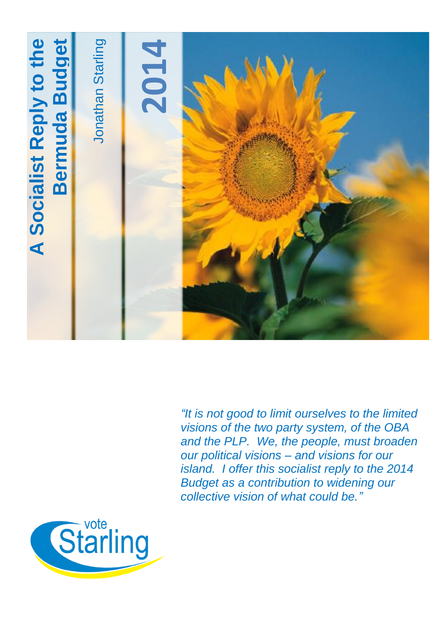

*"It is not good to limit ourselves to the limited visions of the two party system, of the OBA and the PLP. We, the people, must broaden our political visions – and visions for our island. I offer this socialist reply to the 2014 Budget as a contribution to widening our collective vision of what could be."*

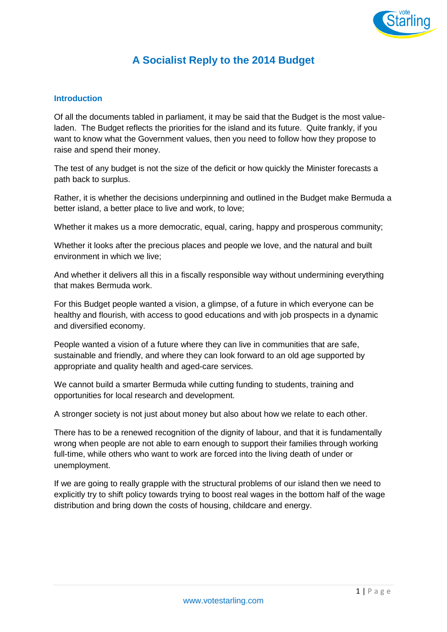

# **A Socialist Reply to the 2014 Budget**

#### **Introduction**

Of all the documents tabled in parliament, it may be said that the Budget is the most valueladen. The Budget reflects the priorities for the island and its future. Quite frankly, if you want to know what the Government values, then you need to follow how they propose to raise and spend their money.

The test of any budget is not the size of the deficit or how quickly the Minister forecasts a path back to surplus.

Rather, it is whether the decisions underpinning and outlined in the Budget make Bermuda a better island, a better place to live and work, to love;

Whether it makes us a more democratic, equal, caring, happy and prosperous community;

Whether it looks after the precious places and people we love, and the natural and built environment in which we live;

And whether it delivers all this in a fiscally responsible way without undermining everything that makes Bermuda work.

For this Budget people wanted a vision, a glimpse, of a future in which everyone can be healthy and flourish, with access to good educations and with job prospects in a dynamic and diversified economy.

People wanted a vision of a future where they can live in communities that are safe, sustainable and friendly, and where they can look forward to an old age supported by appropriate and quality health and aged-care services.

We cannot build a smarter Bermuda while cutting funding to students, training and opportunities for local research and development.

A stronger society is not just about money but also about how we relate to each other.

There has to be a renewed recognition of the dignity of labour, and that it is fundamentally wrong when people are not able to earn enough to support their families through working full-time, while others who want to work are forced into the living death of under or unemployment.

If we are going to really grapple with the structural problems of our island then we need to explicitly try to shift policy towards trying to boost real wages in the bottom half of the wage distribution and bring down the costs of housing, childcare and energy.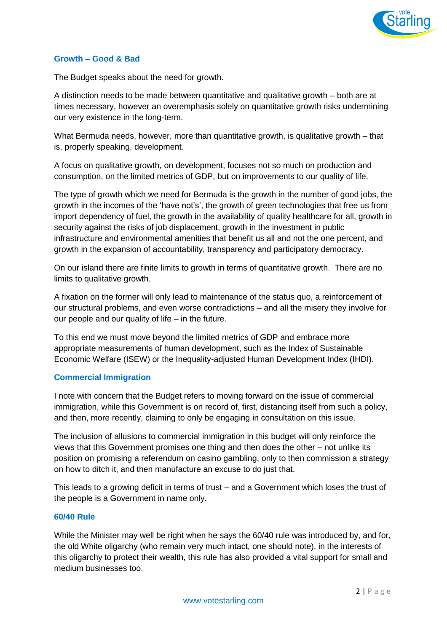

#### **Growth – Good & Bad**

The Budget speaks about the need for growth.

A distinction needs to be made between quantitative and qualitative growth – both are at times necessary, however an overemphasis solely on quantitative growth risks undermining our very existence in the long-term.

What Bermuda needs, however, more than quantitative growth, is qualitative growth – that is, properly speaking, development.

A focus on qualitative growth, on development, focuses not so much on production and consumption, on the limited metrics of GDP, but on improvements to our quality of life.

The type of growth which we need for Bermuda is the growth in the number of good jobs, the growth in the incomes of the 'have not's', the growth of green technologies that free us from import dependency of fuel, the growth in the availability of quality healthcare for all, growth in security against the risks of job displacement, growth in the investment in public infrastructure and environmental amenities that benefit us all and not the one percent, and growth in the expansion of accountability, transparency and participatory democracy.

On our island there are finite limits to growth in terms of quantitative growth. There are no limits to qualitative growth.

A fixation on the former will only lead to maintenance of the status quo, a reinforcement of our structural problems, and even worse contradictions – and all the misery they involve for our people and our quality of life – in the future.

To this end we must move beyond the limited metrics of GDP and embrace more appropriate measurements of human development, such as the Index of Sustainable Economic Welfare (ISEW) or the Inequality-adjusted Human Development Index (IHDI).

#### **Commercial Immigration**

I note with concern that the Budget refers to moving forward on the issue of commercial immigration, while this Government is on record of, first, distancing itself from such a policy, and then, more recently, claiming to only be engaging in consultation on this issue.

The inclusion of allusions to commercial immigration in this budget will only reinforce the views that this Government promises one thing and then does the other – not unlike its position on promising a referendum on casino gambling, only to then commission a strategy on how to ditch it, and then manufacture an excuse to do just that.

This leads to a growing deficit in terms of trust – and a Government which loses the trust of the people is a Government in name only.

#### **60/40 Rule**

While the Minister may well be right when he says the 60/40 rule was introduced by, and for, the old White oligarchy (who remain very much intact, one should note), in the interests of this oligarchy to protect their wealth, this rule has also provided a vital support for small and medium businesses too.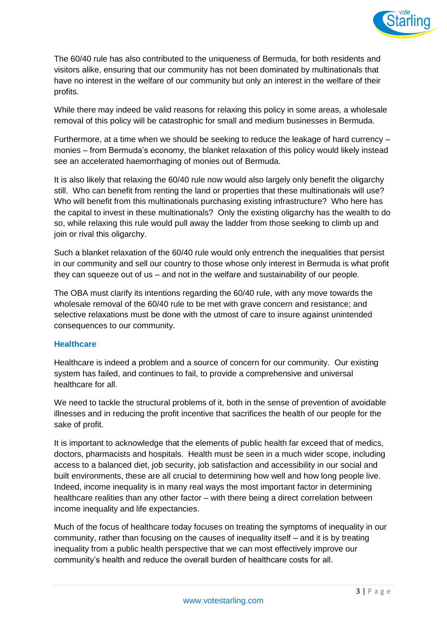

The 60/40 rule has also contributed to the uniqueness of Bermuda, for both residents and visitors alike, ensuring that our community has not been dominated by multinationals that have no interest in the welfare of our community but only an interest in the welfare of their profits.

While there may indeed be valid reasons for relaxing this policy in some areas, a wholesale removal of this policy will be catastrophic for small and medium businesses in Bermuda.

Furthermore, at a time when we should be seeking to reduce the leakage of hard currency – monies – from Bermuda's economy, the blanket relaxation of this policy would likely instead see an accelerated haemorrhaging of monies out of Bermuda.

It is also likely that relaxing the 60/40 rule now would also largely only benefit the oligarchy still. Who can benefit from renting the land or properties that these multinationals will use? Who will benefit from this multinationals purchasing existing infrastructure? Who here has the capital to invest in these multinationals? Only the existing oligarchy has the wealth to do so, while relaxing this rule would pull away the ladder from those seeking to climb up and join or rival this oligarchy.

Such a blanket relaxation of the 60/40 rule would only entrench the inequalities that persist in our community and sell our country to those whose only interest in Bermuda is what profit they can squeeze out of us – and not in the welfare and sustainability of our people.

The OBA must clarify its intentions regarding the 60/40 rule, with any move towards the wholesale removal of the 60/40 rule to be met with grave concern and resistance; and selective relaxations must be done with the utmost of care to insure against unintended consequences to our community.

#### **Healthcare**

Healthcare is indeed a problem and a source of concern for our community. Our existing system has failed, and continues to fail, to provide a comprehensive and universal healthcare for all.

We need to tackle the structural problems of it, both in the sense of prevention of avoidable illnesses and in reducing the profit incentive that sacrifices the health of our people for the sake of profit.

It is important to acknowledge that the elements of public health far exceed that of medics, doctors, pharmacists and hospitals. Health must be seen in a much wider scope, including access to a balanced diet, job security, job satisfaction and accessibility in our social and built environments, these are all crucial to determining how well and how long people live. Indeed, income inequality is in many real ways the most important factor in determining healthcare realities than any other factor – with there being a direct correlation between income inequality and life expectancies.

Much of the focus of healthcare today focuses on treating the symptoms of inequality in our community, rather than focusing on the causes of inequality itself – and it is by treating inequality from a public health perspective that we can most effectively improve our community's health and reduce the overall burden of healthcare costs for all.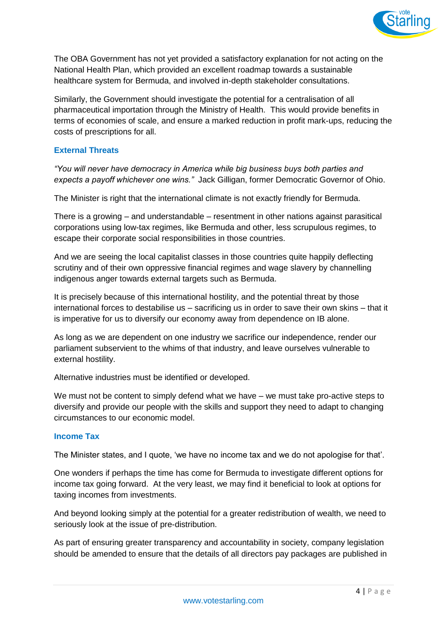

The OBA Government has not yet provided a satisfactory explanation for not acting on the National Health Plan, which provided an excellent roadmap towards a sustainable healthcare system for Bermuda, and involved in-depth stakeholder consultations.

Similarly, the Government should investigate the potential for a centralisation of all pharmaceutical importation through the Ministry of Health. This would provide benefits in terms of economies of scale, and ensure a marked reduction in profit mark-ups, reducing the costs of prescriptions for all.

## **External Threats**

*"You will never have democracy in America while big business buys both parties and expects a payoff whichever one wins."* Jack Gilligan, former Democratic Governor of Ohio.

The Minister is right that the international climate is not exactly friendly for Bermuda.

There is a growing – and understandable – resentment in other nations against parasitical corporations using low-tax regimes, like Bermuda and other, less scrupulous regimes, to escape their corporate social responsibilities in those countries.

And we are seeing the local capitalist classes in those countries quite happily deflecting scrutiny and of their own oppressive financial regimes and wage slavery by channelling indigenous anger towards external targets such as Bermuda.

It is precisely because of this international hostility, and the potential threat by those international forces to destabilise us – sacrificing us in order to save their own skins – that it is imperative for us to diversify our economy away from dependence on IB alone.

As long as we are dependent on one industry we sacrifice our independence, render our parliament subservient to the whims of that industry, and leave ourselves vulnerable to external hostility.

Alternative industries must be identified or developed.

We must not be content to simply defend what we have – we must take pro-active steps to diversify and provide our people with the skills and support they need to adapt to changing circumstances to our economic model.

#### **Income Tax**

The Minister states, and I quote, 'we have no income tax and we do not apologise for that'.

One wonders if perhaps the time has come for Bermuda to investigate different options for income tax going forward. At the very least, we may find it beneficial to look at options for taxing incomes from investments.

And beyond looking simply at the potential for a greater redistribution of wealth, we need to seriously look at the issue of pre-distribution.

As part of ensuring greater transparency and accountability in society, company legislation should be amended to ensure that the details of all directors pay packages are published in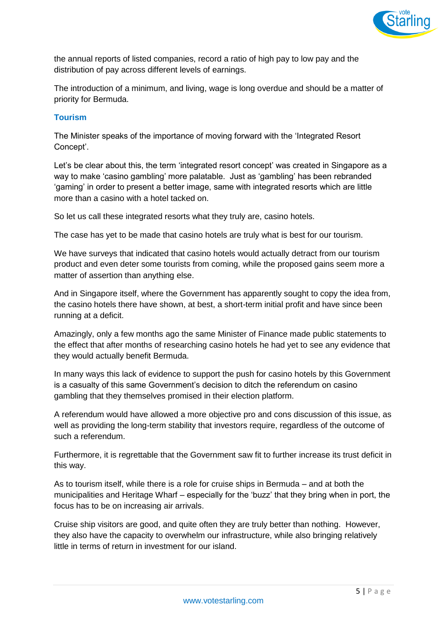

the annual reports of listed companies, record a ratio of high pay to low pay and the distribution of pay across different levels of earnings.

The introduction of a minimum, and living, wage is long overdue and should be a matter of priority for Bermuda.

### **Tourism**

The Minister speaks of the importance of moving forward with the 'Integrated Resort Concept'.

Let's be clear about this, the term 'integrated resort concept' was created in Singapore as a way to make 'casino gambling' more palatable. Just as 'gambling' has been rebranded 'gaming' in order to present a better image, same with integrated resorts which are little more than a casino with a hotel tacked on.

So let us call these integrated resorts what they truly are, casino hotels.

The case has yet to be made that casino hotels are truly what is best for our tourism.

We have surveys that indicated that casino hotels would actually detract from our tourism product and even deter some tourists from coming, while the proposed gains seem more a matter of assertion than anything else.

And in Singapore itself, where the Government has apparently sought to copy the idea from, the casino hotels there have shown, at best, a short-term initial profit and have since been running at a deficit.

Amazingly, only a few months ago the same Minister of Finance made public statements to the effect that after months of researching casino hotels he had yet to see any evidence that they would actually benefit Bermuda.

In many ways this lack of evidence to support the push for casino hotels by this Government is a casualty of this same Government's decision to ditch the referendum on casino gambling that they themselves promised in their election platform.

A referendum would have allowed a more objective pro and cons discussion of this issue, as well as providing the long-term stability that investors require, regardless of the outcome of such a referendum.

Furthermore, it is regrettable that the Government saw fit to further increase its trust deficit in this way.

As to tourism itself, while there is a role for cruise ships in Bermuda – and at both the municipalities and Heritage Wharf – especially for the 'buzz' that they bring when in port, the focus has to be on increasing air arrivals.

Cruise ship visitors are good, and quite often they are truly better than nothing. However, they also have the capacity to overwhelm our infrastructure, while also bringing relatively little in terms of return in investment for our island.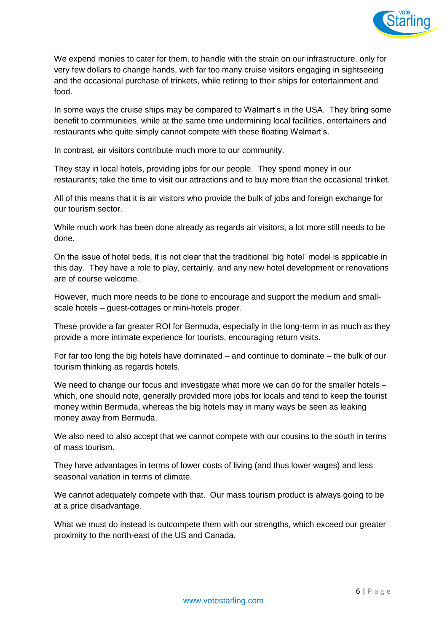

We expend monies to cater for them, to handle with the strain on our infrastructure, only for very few dollars to change hands, with far too many cruise visitors engaging in sightseeing and the occasional purchase of trinkets, while retiring to their ships for entertainment and food.

In some ways the cruise ships may be compared to Walmart's in the USA. They bring some benefit to communities, while at the same time undermining local facilities, entertainers and restaurants who quite simply cannot compete with these floating Walmart's.

In contrast, air visitors contribute much more to our community.

They stay in local hotels, providing jobs for our people. They spend money in our restaurants; take the time to visit our attractions and to buy more than the occasional trinket.

All of this means that it is air visitors who provide the bulk of jobs and foreign exchange for our tourism sector.

While much work has been done already as regards air visitors, a lot more still needs to be done.

On the issue of hotel beds, it is not clear that the traditional 'big hotel' model is applicable in this day. They have a role to play, certainly, and any new hotel development or renovations are of course welcome.

However, much more needs to be done to encourage and support the medium and smallscale hotels – guest-cottages or mini-hotels proper.

These provide a far greater ROI for Bermuda, especially in the long-term in as much as they provide a more intimate experience for tourists, encouraging return visits.

For far too long the big hotels have dominated – and continue to dominate – the bulk of our tourism thinking as regards hotels.

We need to change our focus and investigate what more we can do for the smaller hotels – which, one should note, generally provided more jobs for locals and tend to keep the tourist money within Bermuda, whereas the big hotels may in many ways be seen as leaking money away from Bermuda.

We also need to also accept that we cannot compete with our cousins to the south in terms of mass tourism.

They have advantages in terms of lower costs of living (and thus lower wages) and less seasonal variation in terms of climate.

We cannot adequately compete with that. Our mass tourism product is always going to be at a price disadvantage.

What we must do instead is outcompete them with our strengths, which exceed our greater proximity to the north-east of the US and Canada.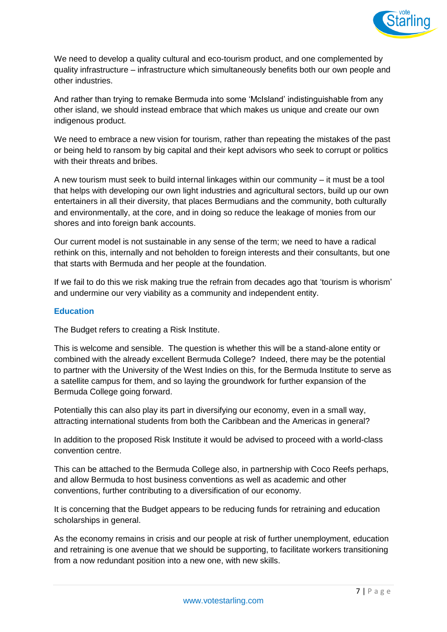

We need to develop a quality cultural and eco-tourism product, and one complemented by quality infrastructure – infrastructure which simultaneously benefits both our own people and other industries.

And rather than trying to remake Bermuda into some 'McIsland' indistinguishable from any other island, we should instead embrace that which makes us unique and create our own indigenous product.

We need to embrace a new vision for tourism, rather than repeating the mistakes of the past or being held to ransom by big capital and their kept advisors who seek to corrupt or politics with their threats and bribes.

A new tourism must seek to build internal linkages within our community – it must be a tool that helps with developing our own light industries and agricultural sectors, build up our own entertainers in all their diversity, that places Bermudians and the community, both culturally and environmentally, at the core, and in doing so reduce the leakage of monies from our shores and into foreign bank accounts.

Our current model is not sustainable in any sense of the term; we need to have a radical rethink on this, internally and not beholden to foreign interests and their consultants, but one that starts with Bermuda and her people at the foundation.

If we fail to do this we risk making true the refrain from decades ago that 'tourism is whorism' and undermine our very viability as a community and independent entity.

#### **Education**

The Budget refers to creating a Risk Institute.

This is welcome and sensible. The question is whether this will be a stand-alone entity or combined with the already excellent Bermuda College? Indeed, there may be the potential to partner with the University of the West Indies on this, for the Bermuda Institute to serve as a satellite campus for them, and so laying the groundwork for further expansion of the Bermuda College going forward.

Potentially this can also play its part in diversifying our economy, even in a small way, attracting international students from both the Caribbean and the Americas in general?

In addition to the proposed Risk Institute it would be advised to proceed with a world-class convention centre.

This can be attached to the Bermuda College also, in partnership with Coco Reefs perhaps, and allow Bermuda to host business conventions as well as academic and other conventions, further contributing to a diversification of our economy.

It is concerning that the Budget appears to be reducing funds for retraining and education scholarships in general.

As the economy remains in crisis and our people at risk of further unemployment, education and retraining is one avenue that we should be supporting, to facilitate workers transitioning from a now redundant position into a new one, with new skills.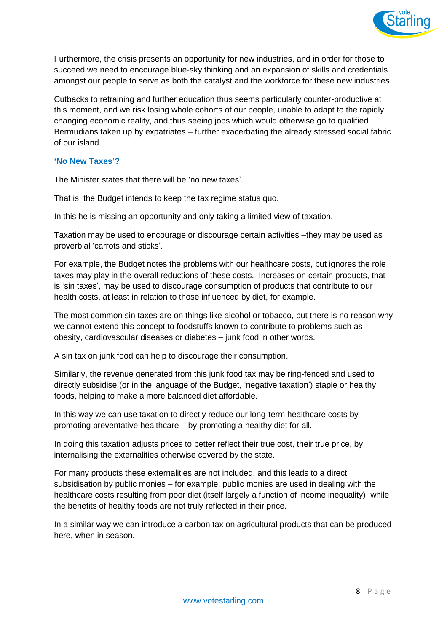

Furthermore, the crisis presents an opportunity for new industries, and in order for those to succeed we need to encourage blue-sky thinking and an expansion of skills and credentials amongst our people to serve as both the catalyst and the workforce for these new industries.

Cutbacks to retraining and further education thus seems particularly counter-productive at this moment, and we risk losing whole cohorts of our people, unable to adapt to the rapidly changing economic reality, and thus seeing jobs which would otherwise go to qualified Bermudians taken up by expatriates – further exacerbating the already stressed social fabric of our island.

#### **'No New Taxes'?**

The Minister states that there will be 'no new taxes'.

That is, the Budget intends to keep the tax regime status quo.

In this he is missing an opportunity and only taking a limited view of taxation.

Taxation may be used to encourage or discourage certain activities –they may be used as proverbial 'carrots and sticks'.

For example, the Budget notes the problems with our healthcare costs, but ignores the role taxes may play in the overall reductions of these costs. Increases on certain products, that is 'sin taxes', may be used to discourage consumption of products that contribute to our health costs, at least in relation to those influenced by diet, for example.

The most common sin taxes are on things like alcohol or tobacco, but there is no reason why we cannot extend this concept to foodstuffs known to contribute to problems such as obesity, cardiovascular diseases or diabetes – junk food in other words.

A sin tax on junk food can help to discourage their consumption.

Similarly, the revenue generated from this junk food tax may be ring-fenced and used to directly subsidise (or in the language of the Budget, 'negative taxation') staple or healthy foods, helping to make a more balanced diet affordable.

In this way we can use taxation to directly reduce our long-term healthcare costs by promoting preventative healthcare – by promoting a healthy diet for all.

In doing this taxation adjusts prices to better reflect their true cost, their true price, by internalising the externalities otherwise covered by the state.

For many products these externalities are not included, and this leads to a direct subsidisation by public monies – for example, public monies are used in dealing with the healthcare costs resulting from poor diet (itself largely a function of income inequality), while the benefits of healthy foods are not truly reflected in their price.

In a similar way we can introduce a carbon tax on agricultural products that can be produced here, when in season.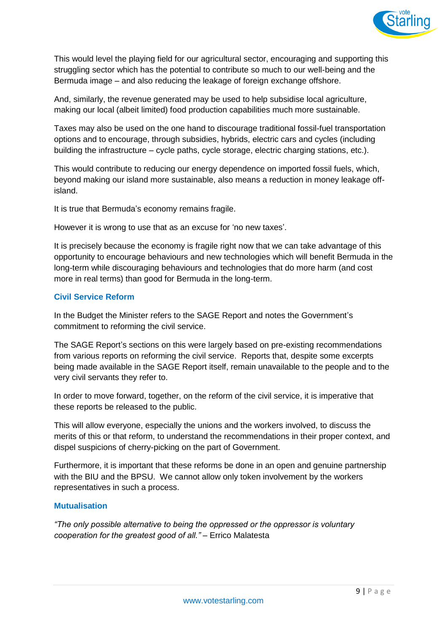

This would level the playing field for our agricultural sector, encouraging and supporting this struggling sector which has the potential to contribute so much to our well-being and the Bermuda image – and also reducing the leakage of foreign exchange offshore.

And, similarly, the revenue generated may be used to help subsidise local agriculture, making our local (albeit limited) food production capabilities much more sustainable.

Taxes may also be used on the one hand to discourage traditional fossil-fuel transportation options and to encourage, through subsidies, hybrids, electric cars and cycles (including building the infrastructure – cycle paths, cycle storage, electric charging stations, etc.).

This would contribute to reducing our energy dependence on imported fossil fuels, which, beyond making our island more sustainable, also means a reduction in money leakage offisland.

It is true that Bermuda's economy remains fragile.

However it is wrong to use that as an excuse for 'no new taxes'.

It is precisely because the economy is fragile right now that we can take advantage of this opportunity to encourage behaviours and new technologies which will benefit Bermuda in the long-term while discouraging behaviours and technologies that do more harm (and cost more in real terms) than good for Bermuda in the long-term.

#### **Civil Service Reform**

In the Budget the Minister refers to the SAGE Report and notes the Government's commitment to reforming the civil service.

The SAGE Report's sections on this were largely based on pre-existing recommendations from various reports on reforming the civil service. Reports that, despite some excerpts being made available in the SAGE Report itself, remain unavailable to the people and to the very civil servants they refer to.

In order to move forward, together, on the reform of the civil service, it is imperative that these reports be released to the public.

This will allow everyone, especially the unions and the workers involved, to discuss the merits of this or that reform, to understand the recommendations in their proper context, and dispel suspicions of cherry-picking on the part of Government.

Furthermore, it is important that these reforms be done in an open and genuine partnership with the BIU and the BPSU. We cannot allow only token involvement by the workers representatives in such a process.

#### **Mutualisation**

*"The only possible alternative to being the oppressed or the oppressor is voluntary cooperation for the greatest good of all."* – Errico Malatesta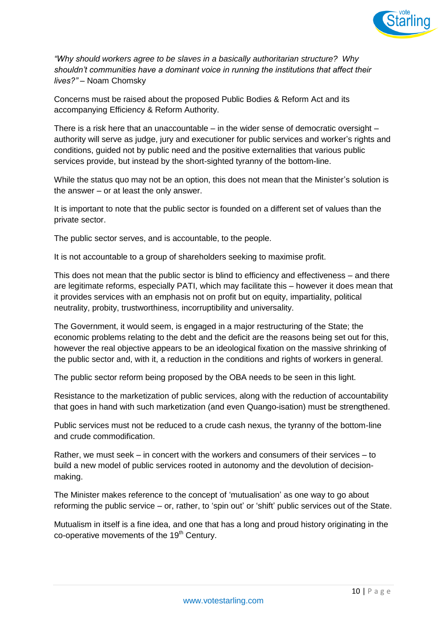

*"Why should workers agree to be slaves in a basically authoritarian structure? Why shouldn't communities have a dominant voice in running the institutions that affect their lives?"* – Noam Chomsky

Concerns must be raised about the proposed Public Bodies & Reform Act and its accompanying Efficiency & Reform Authority.

There is a risk here that an unaccountable – in the wider sense of democratic oversight  $$ authority will serve as judge, jury and executioner for public services and worker's rights and conditions, guided not by public need and the positive externalities that various public services provide, but instead by the short-sighted tyranny of the bottom-line.

While the status quo may not be an option, this does not mean that the Minister's solution is the answer – or at least the only answer.

It is important to note that the public sector is founded on a different set of values than the private sector.

The public sector serves, and is accountable, to the people.

It is not accountable to a group of shareholders seeking to maximise profit.

This does not mean that the public sector is blind to efficiency and effectiveness – and there are legitimate reforms, especially PATI, which may facilitate this – however it does mean that it provides services with an emphasis not on profit but on equity, impartiality, political neutrality, probity, trustworthiness, incorruptibility and universality.

The Government, it would seem, is engaged in a major restructuring of the State; the economic problems relating to the debt and the deficit are the reasons being set out for this, however the real objective appears to be an ideological fixation on the massive shrinking of the public sector and, with it, a reduction in the conditions and rights of workers in general.

The public sector reform being proposed by the OBA needs to be seen in this light.

Resistance to the marketization of public services, along with the reduction of accountability that goes in hand with such marketization (and even Quango-isation) must be strengthened.

Public services must not be reduced to a crude cash nexus, the tyranny of the bottom-line and crude commodification.

Rather, we must seek – in concert with the workers and consumers of their services – to build a new model of public services rooted in autonomy and the devolution of decisionmaking.

The Minister makes reference to the concept of 'mutualisation' as one way to go about reforming the public service – or, rather, to 'spin out' or 'shift' public services out of the State.

Mutualism in itself is a fine idea, and one that has a long and proud history originating in the co-operative movements of the  $19<sup>th</sup>$  Century.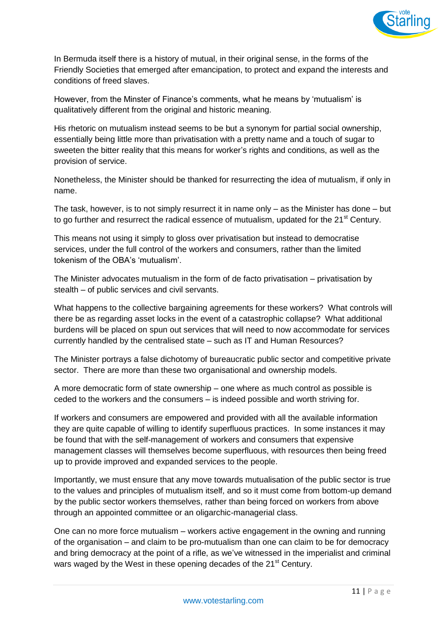

In Bermuda itself there is a history of mutual, in their original sense, in the forms of the Friendly Societies that emerged after emancipation, to protect and expand the interests and conditions of freed slaves.

However, from the Minster of Finance's comments, what he means by 'mutualism' is qualitatively different from the original and historic meaning.

His rhetoric on mutualism instead seems to be but a synonym for partial social ownership, essentially being little more than privatisation with a pretty name and a touch of sugar to sweeten the bitter reality that this means for worker's rights and conditions, as well as the provision of service.

Nonetheless, the Minister should be thanked for resurrecting the idea of mutualism, if only in name.

The task, however, is to not simply resurrect it in name only – as the Minister has done – but to go further and resurrect the radical essence of mutualism, updated for the 21<sup>st</sup> Century.

This means not using it simply to gloss over privatisation but instead to democratise services, under the full control of the workers and consumers, rather than the limited tokenism of the OBA's 'mutualism'.

The Minister advocates mutualism in the form of de facto privatisation – privatisation by stealth – of public services and civil servants.

What happens to the collective bargaining agreements for these workers? What controls will there be as regarding asset locks in the event of a catastrophic collapse? What additional burdens will be placed on spun out services that will need to now accommodate for services currently handled by the centralised state – such as IT and Human Resources?

The Minister portrays a false dichotomy of bureaucratic public sector and competitive private sector. There are more than these two organisational and ownership models.

A more democratic form of state ownership – one where as much control as possible is ceded to the workers and the consumers – is indeed possible and worth striving for.

If workers and consumers are empowered and provided with all the available information they are quite capable of willing to identify superfluous practices. In some instances it may be found that with the self-management of workers and consumers that expensive management classes will themselves become superfluous, with resources then being freed up to provide improved and expanded services to the people.

Importantly, we must ensure that any move towards mutualisation of the public sector is true to the values and principles of mutualism itself, and so it must come from bottom-up demand by the public sector workers themselves, rather than being forced on workers from above through an appointed committee or an oligarchic-managerial class.

One can no more force mutualism – workers active engagement in the owning and running of the organisation – and claim to be pro-mutualism than one can claim to be for democracy and bring democracy at the point of a rifle, as we've witnessed in the imperialist and criminal wars waged by the West in these opening decades of the 21<sup>st</sup> Century.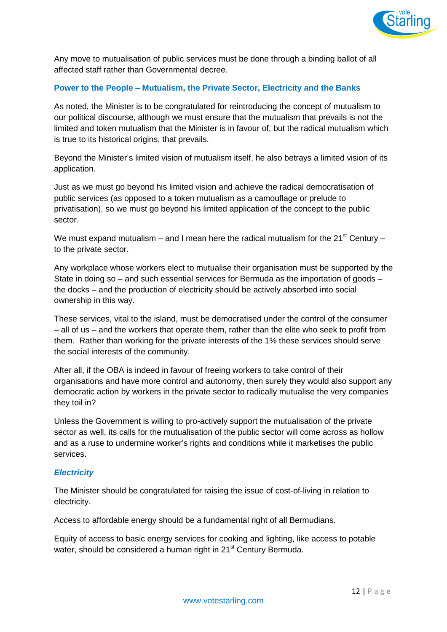

Any move to mutualisation of public services must be done through a binding ballot of all affected staff rather than Governmental decree.

## **Power to the People – Mutualism, the Private Sector, Electricity and the Banks**

As noted, the Minister is to be congratulated for reintroducing the concept of mutualism to our political discourse, although we must ensure that the mutualism that prevails is not the limited and token mutualism that the Minister is in favour of, but the radical mutualism which is true to its historical origins, that prevails.

Beyond the Minister's limited vision of mutualism itself, he also betrays a limited vision of its application.

Just as we must go beyond his limited vision and achieve the radical democratisation of public services (as opposed to a token mutualism as a camouflage or prelude to privatisation), so we must go beyond his limited application of the concept to the public sector.

We must expand mutualism – and I mean here the radical mutualism for the  $21^{st}$  Century – to the private sector.

Any workplace whose workers elect to mutualise their organisation must be supported by the State in doing so – and such essential services for Bermuda as the importation of goods – the docks – and the production of electricity should be actively absorbed into social ownership in this way.

These services, vital to the island, must be democratised under the control of the consumer – all of us – and the workers that operate them, rather than the elite who seek to profit from them. Rather than working for the private interests of the 1% these services should serve the social interests of the community.

After all, if the OBA is indeed in favour of freeing workers to take control of their organisations and have more control and autonomy, then surely they would also support any democratic action by workers in the private sector to radically mutualise the very companies they toil in?

Unless the Government is willing to pro-actively support the mutualisation of the private sector as well, its calls for the mutualisation of the public sector will come across as hollow and as a ruse to undermine worker's rights and conditions while it marketises the public services.

#### *Electricity*

The Minister should be congratulated for raising the issue of cost-of-living in relation to electricity.

Access to affordable energy should be a fundamental right of all Bermudians.

Equity of access to basic energy services for cooking and lighting, like access to potable water, should be considered a human right in 21<sup>st</sup> Century Bermuda.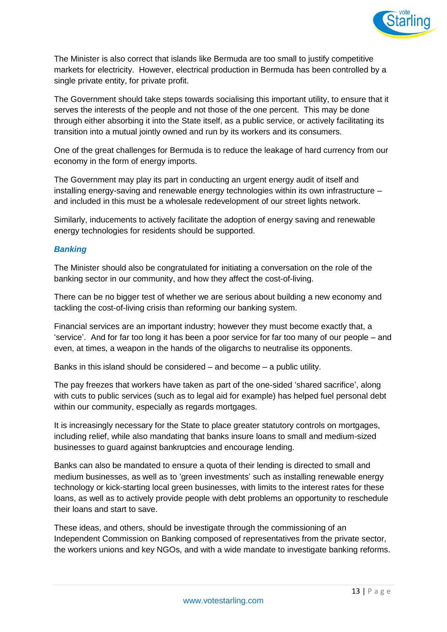

The Minister is also correct that islands like Bermuda are too small to justify competitive markets for electricity. However, electrical production in Bermuda has been controlled by a single private entity, for private profit.

The Government should take steps towards socialising this important utility, to ensure that it serves the interests of the people and not those of the one percent. This may be done through either absorbing it into the State itself, as a public service, or actively facilitating its transition into a mutual jointly owned and run by its workers and its consumers.

One of the great challenges for Bermuda is to reduce the leakage of hard currency from our economy in the form of energy imports.

The Government may play its part in conducting an urgent energy audit of itself and installing energy-saving and renewable energy technologies within its own infrastructure – and included in this must be a wholesale redevelopment of our street lights network.

Similarly, inducements to actively facilitate the adoption of energy saving and renewable energy technologies for residents should be supported.

#### *Banking*

The Minister should also be congratulated for initiating a conversation on the role of the banking sector in our community, and how they affect the cost-of-living.

There can be no bigger test of whether we are serious about building a new economy and tackling the cost-of-living crisis than reforming our banking system.

Financial services are an important industry; however they must become exactly that, a 'service'. And for far too long it has been a poor service for far too many of our people – and even, at times, a weapon in the hands of the oligarchs to neutralise its opponents.

Banks in this island should be considered – and become – a public utility.

The pay freezes that workers have taken as part of the one-sided 'shared sacrifice', along with cuts to public services (such as to legal aid for example) has helped fuel personal debt within our community, especially as regards mortgages.

It is increasingly necessary for the State to place greater statutory controls on mortgages, including relief, while also mandating that banks insure loans to small and medium-sized businesses to guard against bankruptcies and encourage lending.

Banks can also be mandated to ensure a quota of their lending is directed to small and medium businesses, as well as to 'green investments' such as installing renewable energy technology or kick-starting local green businesses, with limits to the interest rates for these loans, as well as to actively provide people with debt problems an opportunity to reschedule their loans and start to save.

These ideas, and others, should be investigate through the commissioning of an Independent Commission on Banking composed of representatives from the private sector, the workers unions and key NGOs, and with a wide mandate to investigate banking reforms.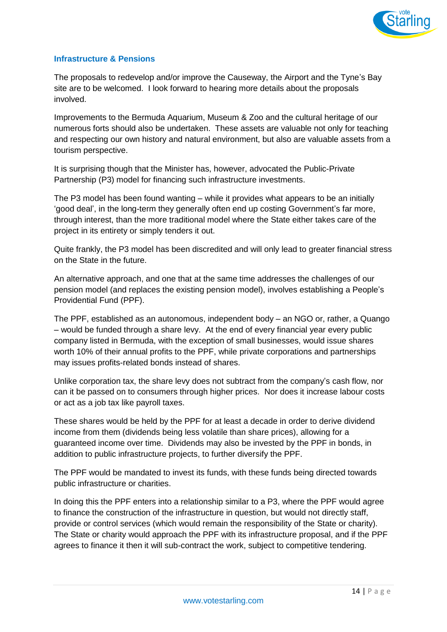

#### **Infrastructure & Pensions**

The proposals to redevelop and/or improve the Causeway, the Airport and the Tyne's Bay site are to be welcomed. I look forward to hearing more details about the proposals involved.

Improvements to the Bermuda Aquarium, Museum & Zoo and the cultural heritage of our numerous forts should also be undertaken. These assets are valuable not only for teaching and respecting our own history and natural environment, but also are valuable assets from a tourism perspective.

It is surprising though that the Minister has, however, advocated the Public-Private Partnership (P3) model for financing such infrastructure investments.

The P3 model has been found wanting – while it provides what appears to be an initially 'good deal', in the long-term they generally often end up costing Government's far more, through interest, than the more traditional model where the State either takes care of the project in its entirety or simply tenders it out.

Quite frankly, the P3 model has been discredited and will only lead to greater financial stress on the State in the future.

An alternative approach, and one that at the same time addresses the challenges of our pension model (and replaces the existing pension model), involves establishing a People's Providential Fund (PPF).

The PPF, established as an autonomous, independent body – an NGO or, rather, a Quango – would be funded through a share levy. At the end of every financial year every public company listed in Bermuda, with the exception of small businesses, would issue shares worth 10% of their annual profits to the PPF, while private corporations and partnerships may issues profits-related bonds instead of shares.

Unlike corporation tax, the share levy does not subtract from the company's cash flow, nor can it be passed on to consumers through higher prices. Nor does it increase labour costs or act as a job tax like payroll taxes.

These shares would be held by the PPF for at least a decade in order to derive dividend income from them (dividends being less volatile than share prices), allowing for a guaranteed income over time. Dividends may also be invested by the PPF in bonds, in addition to public infrastructure projects, to further diversify the PPF.

The PPF would be mandated to invest its funds, with these funds being directed towards public infrastructure or charities.

In doing this the PPF enters into a relationship similar to a P3, where the PPF would agree to finance the construction of the infrastructure in question, but would not directly staff, provide or control services (which would remain the responsibility of the State or charity). The State or charity would approach the PPF with its infrastructure proposal, and if the PPF agrees to finance it then it will sub-contract the work, subject to competitive tendering.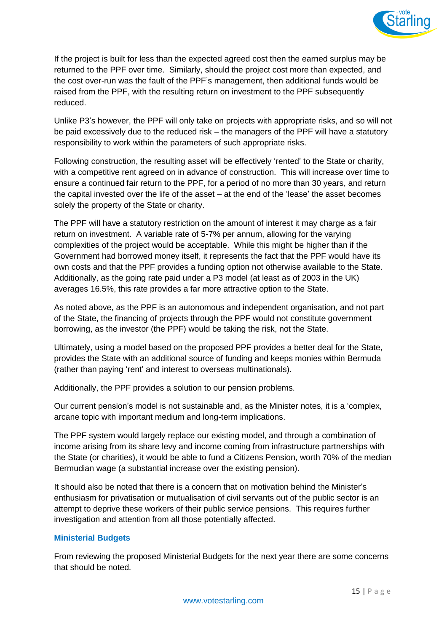

If the project is built for less than the expected agreed cost then the earned surplus may be returned to the PPF over time. Similarly, should the project cost more than expected, and the cost over-run was the fault of the PPF's management, then additional funds would be raised from the PPF, with the resulting return on investment to the PPF subsequently reduced.

Unlike P3's however, the PPF will only take on projects with appropriate risks, and so will not be paid excessively due to the reduced risk – the managers of the PPF will have a statutory responsibility to work within the parameters of such appropriate risks.

Following construction, the resulting asset will be effectively 'rented' to the State or charity, with a competitive rent agreed on in advance of construction. This will increase over time to ensure a continued fair return to the PPF, for a period of no more than 30 years, and return the capital invested over the life of the asset – at the end of the 'lease' the asset becomes solely the property of the State or charity.

The PPF will have a statutory restriction on the amount of interest it may charge as a fair return on investment. A variable rate of 5-7% per annum, allowing for the varying complexities of the project would be acceptable. While this might be higher than if the Government had borrowed money itself, it represents the fact that the PPF would have its own costs and that the PPF provides a funding option not otherwise available to the State. Additionally, as the going rate paid under a P3 model (at least as of 2003 in the UK) averages 16.5%, this rate provides a far more attractive option to the State.

As noted above, as the PPF is an autonomous and independent organisation, and not part of the State, the financing of projects through the PPF would not constitute government borrowing, as the investor (the PPF) would be taking the risk, not the State.

Ultimately, using a model based on the proposed PPF provides a better deal for the State, provides the State with an additional source of funding and keeps monies within Bermuda (rather than paying 'rent' and interest to overseas multinationals).

Additionally, the PPF provides a solution to our pension problems.

Our current pension's model is not sustainable and, as the Minister notes, it is a 'complex, arcane topic with important medium and long-term implications.

The PPF system would largely replace our existing model, and through a combination of income arising from its share levy and income coming from infrastructure partnerships with the State (or charities), it would be able to fund a Citizens Pension, worth 70% of the median Bermudian wage (a substantial increase over the existing pension).

It should also be noted that there is a concern that on motivation behind the Minister's enthusiasm for privatisation or mutualisation of civil servants out of the public sector is an attempt to deprive these workers of their public service pensions. This requires further investigation and attention from all those potentially affected.

## **Ministerial Budgets**

From reviewing the proposed Ministerial Budgets for the next year there are some concerns that should be noted.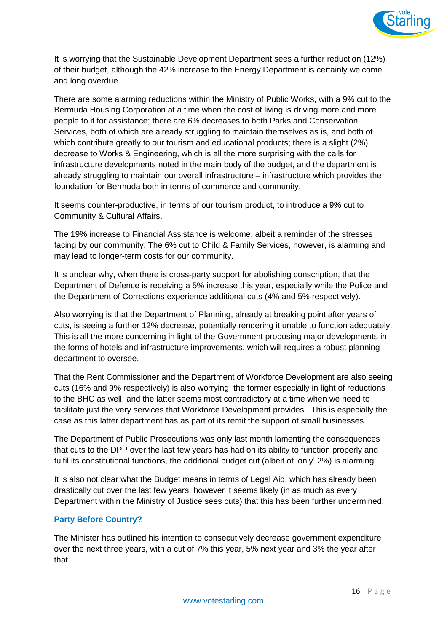

It is worrying that the Sustainable Development Department sees a further reduction (12%) of their budget, although the 42% increase to the Energy Department is certainly welcome and long overdue.

There are some alarming reductions within the Ministry of Public Works, with a 9% cut to the Bermuda Housing Corporation at a time when the cost of living is driving more and more people to it for assistance; there are 6% decreases to both Parks and Conservation Services, both of which are already struggling to maintain themselves as is, and both of which contribute greatly to our tourism and educational products; there is a slight (2%) decrease to Works & Engineering, which is all the more surprising with the calls for infrastructure developments noted in the main body of the budget, and the department is already struggling to maintain our overall infrastructure – infrastructure which provides the foundation for Bermuda both in terms of commerce and community.

It seems counter-productive, in terms of our tourism product, to introduce a 9% cut to Community & Cultural Affairs.

The 19% increase to Financial Assistance is welcome, albeit a reminder of the stresses facing by our community. The 6% cut to Child & Family Services, however, is alarming and may lead to longer-term costs for our community.

It is unclear why, when there is cross-party support for abolishing conscription, that the Department of Defence is receiving a 5% increase this year, especially while the Police and the Department of Corrections experience additional cuts (4% and 5% respectively).

Also worrying is that the Department of Planning, already at breaking point after years of cuts, is seeing a further 12% decrease, potentially rendering it unable to function adequately. This is all the more concerning in light of the Government proposing major developments in the forms of hotels and infrastructure improvements, which will requires a robust planning department to oversee.

That the Rent Commissioner and the Department of Workforce Development are also seeing cuts (16% and 9% respectively) is also worrying, the former especially in light of reductions to the BHC as well, and the latter seems most contradictory at a time when we need to facilitate just the very services that Workforce Development provides. This is especially the case as this latter department has as part of its remit the support of small businesses.

The Department of Public Prosecutions was only last month lamenting the consequences that cuts to the DPP over the last few years has had on its ability to function properly and fulfil its constitutional functions, the additional budget cut (albeit of 'only' 2%) is alarming.

It is also not clear what the Budget means in terms of Legal Aid, which has already been drastically cut over the last few years, however it seems likely (in as much as every Department within the Ministry of Justice sees cuts) that this has been further undermined.

## **Party Before Country?**

The Minister has outlined his intention to consecutively decrease government expenditure over the next three years, with a cut of 7% this year, 5% next year and 3% the year after that.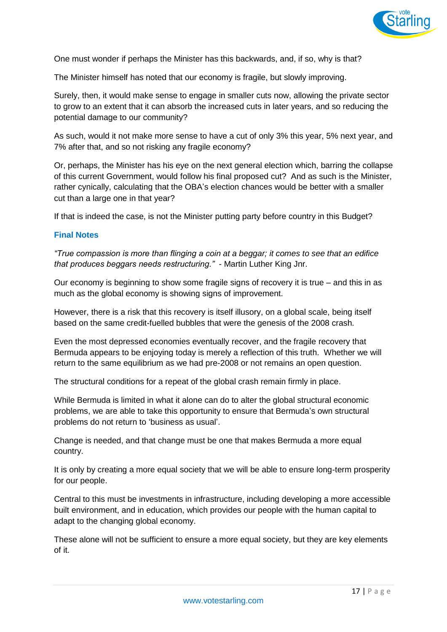

One must wonder if perhaps the Minister has this backwards, and, if so, why is that?

The Minister himself has noted that our economy is fragile, but slowly improving.

Surely, then, it would make sense to engage in smaller cuts now, allowing the private sector to grow to an extent that it can absorb the increased cuts in later years, and so reducing the potential damage to our community?

As such, would it not make more sense to have a cut of only 3% this year, 5% next year, and 7% after that, and so not risking any fragile economy?

Or, perhaps, the Minister has his eye on the next general election which, barring the collapse of this current Government, would follow his final proposed cut? And as such is the Minister, rather cynically, calculating that the OBA's election chances would be better with a smaller cut than a large one in that year?

If that is indeed the case, is not the Minister putting party before country in this Budget?

#### **Final Notes**

*"True compassion is more than flinging a coin at a beggar; it comes to see that an edifice that produces beggars needs restructuring."* - Martin Luther King Jnr.

Our economy is beginning to show some fragile signs of recovery it is true – and this in as much as the global economy is showing signs of improvement.

However, there is a risk that this recovery is itself illusory, on a global scale, being itself based on the same credit-fuelled bubbles that were the genesis of the 2008 crash.

Even the most depressed economies eventually recover, and the fragile recovery that Bermuda appears to be enjoying today is merely a reflection of this truth. Whether we will return to the same equilibrium as we had pre-2008 or not remains an open question.

The structural conditions for a repeat of the global crash remain firmly in place.

While Bermuda is limited in what it alone can do to alter the global structural economic problems, we are able to take this opportunity to ensure that Bermuda's own structural problems do not return to 'business as usual'.

Change is needed, and that change must be one that makes Bermuda a more equal country.

It is only by creating a more equal society that we will be able to ensure long-term prosperity for our people.

Central to this must be investments in infrastructure, including developing a more accessible built environment, and in education, which provides our people with the human capital to adapt to the changing global economy.

These alone will not be sufficient to ensure a more equal society, but they are key elements of it.